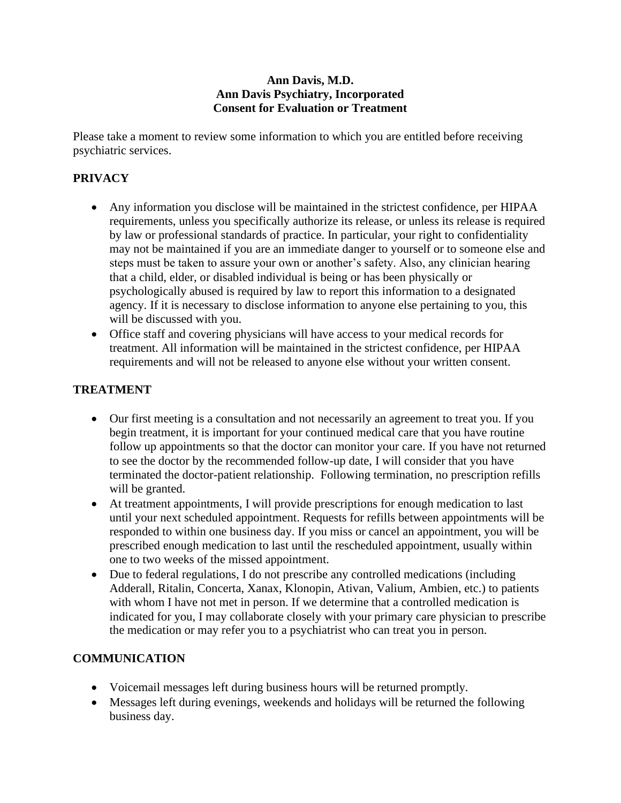#### **Ann Davis, M.D. Ann Davis Psychiatry, Incorporated Consent for Evaluation or Treatment**

Please take a moment to review some information to which you are entitled before receiving psychiatric services.

# **PRIVACY**

- Any information you disclose will be maintained in the strictest confidence, per HIPAA requirements, unless you specifically authorize its release, or unless its release is required by law or professional standards of practice. In particular, your right to confidentiality may not be maintained if you are an immediate danger to yourself or to someone else and steps must be taken to assure your own or another's safety. Also, any clinician hearing that a child, elder, or disabled individual is being or has been physically or psychologically abused is required by law to report this information to a designated agency. If it is necessary to disclose information to anyone else pertaining to you, this will be discussed with you.
- Office staff and covering physicians will have access to your medical records for treatment. All information will be maintained in the strictest confidence, per HIPAA requirements and will not be released to anyone else without your written consent.

## **TREATMENT**

- Our first meeting is a consultation and not necessarily an agreement to treat you. If you begin treatment, it is important for your continued medical care that you have routine follow up appointments so that the doctor can monitor your care. If you have not returned to see the doctor by the recommended follow-up date, I will consider that you have terminated the doctor-patient relationship. Following termination, no prescription refills will be granted.
- At treatment appointments, I will provide prescriptions for enough medication to last until your next scheduled appointment. Requests for refills between appointments will be responded to within one business day. If you miss or cancel an appointment, you will be prescribed enough medication to last until the rescheduled appointment, usually within one to two weeks of the missed appointment.
- Due to federal regulations, I do not prescribe any controlled medications (including Adderall, Ritalin, Concerta, Xanax, Klonopin, Ativan, Valium, Ambien, etc.) to patients with whom I have not met in person. If we determine that a controlled medication is indicated for you, I may collaborate closely with your primary care physician to prescribe the medication or may refer you to a psychiatrist who can treat you in person.

## **COMMUNICATION**

- Voicemail messages left during business hours will be returned promptly.
- Messages left during evenings, weekends and holidays will be returned the following business day.